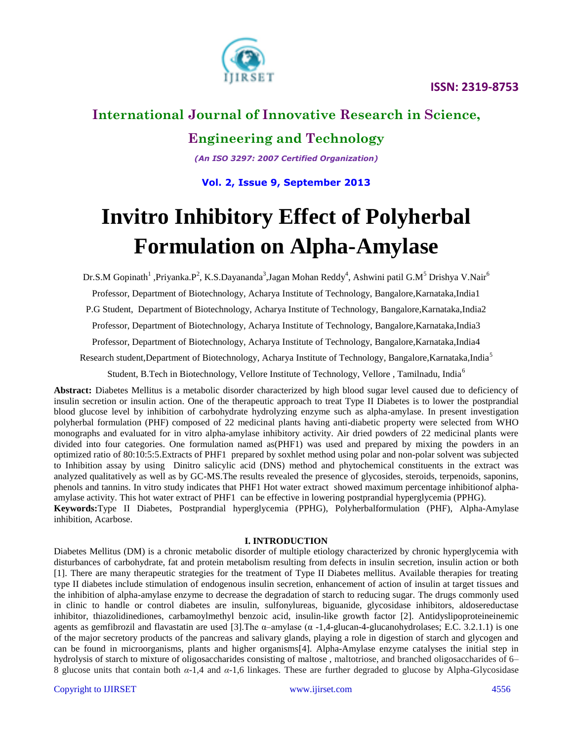

# **International Journal of Innovative Research in Science,**

### **Engineering and Technology**

*(An ISO 3297: 2007 Certified Organization)*

**Vol. 2, Issue 9, September 2013**

# **Invitro Inhibitory Effect of Polyherbal Formulation on Alpha-Amylase**

Dr.S.M Gopinath<sup>1</sup> ,Priyanka.P<sup>2</sup>, K.S.Dayananda<sup>3</sup>,Jagan Mohan Reddy<sup>4</sup>, Ashwini patil G.M<sup>5</sup> Drishya V.Nair<sup>6</sup>

Professor, Department of Biotechnology, Acharya Institute of Technology, Bangalore,Karnataka,India1

P.G Student, Department of Biotechnology, Acharya Institute of Technology, Bangalore, Karnataka, India2

Professor, Department of Biotechnology, Acharya Institute of Technology, Bangalore,Karnataka,India3

Professor, Department of Biotechnology, Acharya Institute of Technology, Bangalore,Karnataka,India4

Research student,Department of Biotechnology, Acharya Institute of Technology, Bangalore,Karnataka,India<sup>5</sup>

Student, B.Tech in Biotechnology, Vellore Institute of Technology, Vellore , Tamilnadu, India<sup>6</sup>

**Abstract:** Diabetes Mellitus is a metabolic disorder characterized by high blood sugar level caused due to deficiency of insulin secretion or insulin action. One of the therapeutic approach to treat Type II Diabetes is to lower the postprandial blood glucose level by inhibition of carbohydrate hydrolyzing enzyme such as alpha-amylase. In present investigation polyherbal formulation (PHF) composed of 22 medicinal plants having anti-diabetic property were selected from WHO monographs and evaluated for in vitro alpha-amylase inhibitory activity. Air dried powders of 22 medicinal plants were divided into four categories. One formulation named as(PHF1) was used and prepared by mixing the powders in an optimized ratio of 80:10:5:5.Extracts of PHF1 prepared by soxhlet method using polar and non-polar solvent was subjected to Inhibition assay by using Dinitro salicylic acid (DNS) method and phytochemical constituents in the extract was analyzed qualitatively as well as by GC-MS.The results revealed the presence of glycosides, steroids, terpenoids, saponins, phenols and tannins. In vitro study indicates that PHF1 Hot water extract showed maximum percentage inhibitionof alphaamylase activity. This hot water extract of PHF1 can be effective in lowering postprandial hyperglycemia (PPHG). **Keywords:**Type II Diabetes, Postprandial hyperglycemia (PPHG), Polyherbalformulation (PHF), Alpha-Amylase inhibition, Acarbose.

### **I. INTRODUCTION**

Diabetes Mellitus (DM) is a chronic metabolic disorder of multiple etiology characterized by chronic hyperglycemia with disturbances of carbohydrate, fat and protein metabolism resulting from defects in insulin secretion, insulin action or both [1]. There are many therapeutic strategies for the treatment of Type II Diabetes mellitus. Available therapies for treating type II diabetes include stimulation of endogenous insulin secretion, enhancement of action of insulin at target tissues and the inhibition of alpha-amylase enzyme to decrease the degradation of starch to reducing sugar. The drugs commonly used in clinic to handle or control diabetes are insulin, sulfonylureas, biguanide, glycosidase inhibitors, aldosereductase inhibitor, thiazolidinediones, carbamoylmethyl benzoic acid, insulin-like growth factor [2]. Antidyslipoproteineinemic agents as gemfibrozil and flavastatin are used [3]. The  $\alpha$ –amylase ( $\alpha$  -1,4-glucan-4-glucanohydrolases; E.C. 3.2.1.1) is one of the major secretory products of the pancreas and salivary glands, playing a role in digestion of starch and glycogen and can be found in microorganisms, plants and higher organisms[4]. Alpha-Amylase enzyme catalyses the initial step in hydrolysis of starch to mixture of oligosaccharides consisting of maltose , maltotriose, and branched oligosaccharides of 6– 8 glucose units that contain both *α*-1,4 and *α*-1,6 linkages. These are further degraded to glucose by Alpha-Glycosidase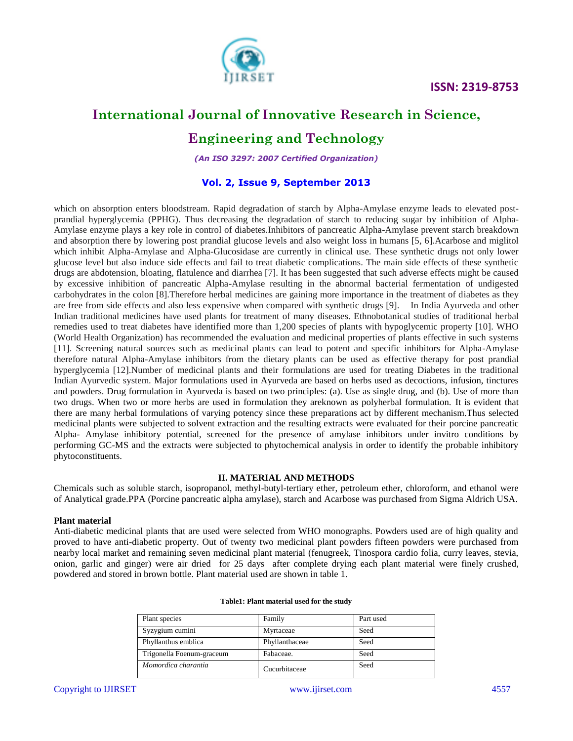

# **International Journal of Innovative Research in Science,**

## **Engineering and Technology**

*(An ISO 3297: 2007 Certified Organization)*

### **Vol. 2, Issue 9, September 2013**

which on absorption enters bloodstream. Rapid degradation of starch by Alpha-Amylase enzyme leads to elevated postprandial hyperglycemia (PPHG). Thus decreasing the degradation of starch to reducing sugar by inhibition of Alpha-Amylase enzyme plays a key role in control of diabetes.Inhibitors of pancreatic Alpha-Amylase prevent starch breakdown and absorption there by lowering post prandial glucose levels and also weight loss in humans [5, 6].Acarbose and miglitol which inhibit Alpha-Amylase and Alpha-Glucosidase are currently in clinical use. These synthetic drugs not only lower glucose level but also induce side effects and fail to treat diabetic complications. The main side effects of these synthetic drugs are abdotension, bloating, flatulence and diarrhea [7]. It has been suggested that such adverse effects might be caused by excessive inhibition of pancreatic Alpha-Amylase resulting in the abnormal bacterial fermentation of undigested carbohydrates in the colon [8].Therefore herbal medicines are gaining more importance in the treatment of diabetes as they are free from side effects and also less expensive when compared with synthetic drugs [9]. In India Ayurveda and other Indian traditional medicines have used plants for treatment of many diseases. Ethnobotanical studies of traditional herbal remedies used to treat diabetes have identified more than 1,200 species of plants with hypoglycemic property [10]. WHO (World Health Organization) has recommended the evaluation and medicinal properties of plants effective in such systems [11]. Screening natural sources such as medicinal plants can lead to potent and specific inhibitors for Alpha-Amylase therefore natural Alpha-Amylase inhibitors from the dietary plants can be used as effective therapy for post prandial hyperglycemia [12].Number of medicinal plants and their formulations are used for treating Diabetes in the traditional Indian Ayurvedic system. Major formulations used in Ayurveda are based on herbs used as decoctions, infusion, tinctures and powders. Drug formulation in Ayurveda is based on two principles: (a). Use as single drug, and (b). Use of more than two drugs. When two or more herbs are used in formulation they areknown as polyherbal formulation. It is evident that there are many herbal formulations of varying potency since these preparations act by different mechanism.Thus selected medicinal plants were subjected to solvent extraction and the resulting extracts were evaluated for their porcine pancreatic Alpha- Amylase inhibitory potential, screened for the presence of amylase inhibitors under invitro conditions by performing GC-MS and the extracts were subjected to phytochemical analysis in order to identify the probable inhibitory phytoconstituents.

### **II. MATERIAL AND METHODS**

Chemicals such as soluble starch, isopropanol, methyl-butyl-tertiary ether, petroleum ether, chloroform, and ethanol were of Analytical grade.PPA (Porcine pancreatic alpha amylase), starch and Acarbose was purchased from Sigma Aldrich USA.

### **Plant material**

Anti-diabetic medicinal plants that are used were selected from WHO monographs. Powders used are of high quality and proved to have anti-diabetic property. Out of twenty two medicinal plant powders fifteen powders were purchased from nearby local market and remaining seven medicinal plant material (fenugreek, Tinospora cardio folia, curry leaves, stevia, onion, garlic and ginger) were air dried for 25 days after complete drying each plant material were finely crushed, powdered and stored in brown bottle. Plant material used are shown in table 1.

| Plant species             | Family         | Part used |
|---------------------------|----------------|-----------|
| Syzygium cumini           | Myrtaceae      | Seed      |
| Phyllanthus emblica       | Phyllanthaceae | Seed      |
| Trigonella Foenum-graceum | Fabaceae.      | Seed      |
| Momordica charantia       | Cucurbitaceae  | Seed      |

| Table1: Plant material used for the study |  |  |  |
|-------------------------------------------|--|--|--|
|-------------------------------------------|--|--|--|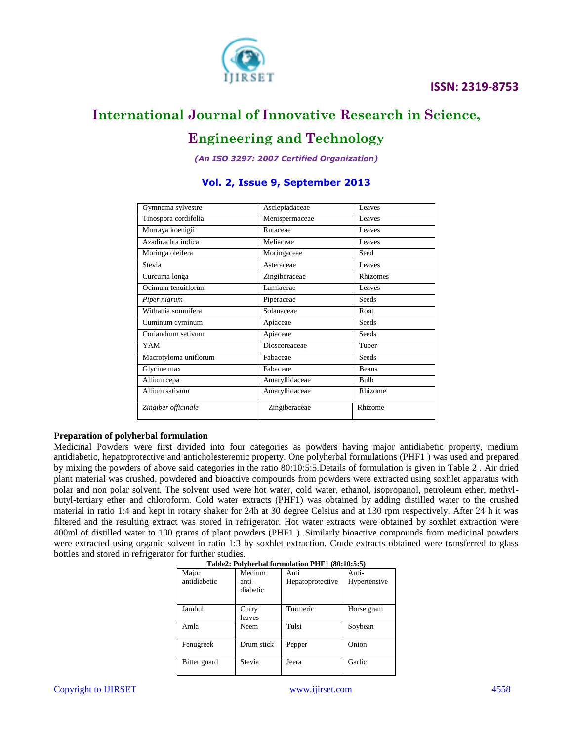

# **Engineering and Technology**

*(An ISO 3297: 2007 Certified Organization)*

### **Vol. 2, Issue 9, September 2013**

| Gymnema sylvestre     | Asclepiadaceae | Leaves   |
|-----------------------|----------------|----------|
| Tinospora cordifolia  | Menispermaceae | Leaves   |
| Murraya koenigii      | Rutaceae       | Leaves   |
| Azadirachta indica    | Meliaceae      | Leaves   |
| Moringa oleifera      | Moringaceae    | Seed     |
| Stevia                | Asteraceae     | Leaves   |
| Curcuma longa         | Zingiberaceae  | Rhizomes |
| Ocimum tenuiflorum    | Lamiaceae      | Leaves   |
| Piper nigrum          | Piperaceae     | Seeds    |
| Withania somnifera    | Solanaceae     | Root     |
| Cuminum cyminum       | Apiaceae       | Seeds    |
| Coriandrum sativum    | Apiaceae       | Seeds    |
| YAM                   | Dioscoreaceae  | Tuber    |
| Macrotyloma uniflorum | Fabaceae       | Seeds    |
| Glycine max           | Fabaceae       | Beans    |
| Allium cepa           | Amaryllidaceae | Bulb     |
| Allium sativum        | Amaryllidaceae | Rhizome  |
| Zingiber officinale   | Zingiberaceae  | Rhizome  |

### **Preparation of polyherbal formulation**

Medicinal Powders were first divided into four categories as powders having major antidiabetic property, medium antidiabetic, hepatoprotective and anticholesteremic property. One polyherbal formulations (PHF1 ) was used and prepared by mixing the powders of above said categories in the ratio 80:10:5:5.Details of formulation is given in Table 2 . Air dried plant material was crushed, powdered and bioactive compounds from powders were extracted using soxhlet apparatus with polar and non polar solvent. The solvent used were hot water, cold water, ethanol, isopropanol, petroleum ether, methylbutyl-tertiary ether and chloroform. Cold water extracts (PHF1) was obtained by adding distilled water to the crushed material in ratio 1:4 and kept in rotary shaker for 24h at 30 degree Celsius and at 130 rpm respectively. After 24 h it was filtered and the resulting extract was stored in refrigerator. Hot water extracts were obtained by soxhlet extraction were 400ml of distilled water to 100 grams of plant powders (PHF1 ) .Similarly bioactive compounds from medicinal powders were extracted using organic solvent in ratio 1:3 by soxhlet extraction. Crude extracts obtained were transferred to glass bottles and stored in refrigerator for further studies.

| Table2: Polynerbal formulation PHFT (60:10:5:5) |            |                  |              |  |  |  |
|-------------------------------------------------|------------|------------------|--------------|--|--|--|
| Major                                           | Medium     | Anti             | Anti-        |  |  |  |
| antidiabetic                                    | anti-      | Hepatoprotective | Hypertensive |  |  |  |
|                                                 | diabetic   |                  |              |  |  |  |
|                                                 |            |                  |              |  |  |  |
| Jambul                                          | Curry      | Turmeric         | Horse gram   |  |  |  |
|                                                 | leaves     |                  |              |  |  |  |
| Amla                                            | Neem       | Tulsi            | Soybean      |  |  |  |
| Fenugreek                                       | Drum stick | Pepper           | Onion        |  |  |  |
| Bitter guard                                    | Stevia     | Jeera            | Garlic       |  |  |  |

|  | Table2: Polyherbal formulation PHF1 (80:10:5:5) |  |
|--|-------------------------------------------------|--|
|  |                                                 |  |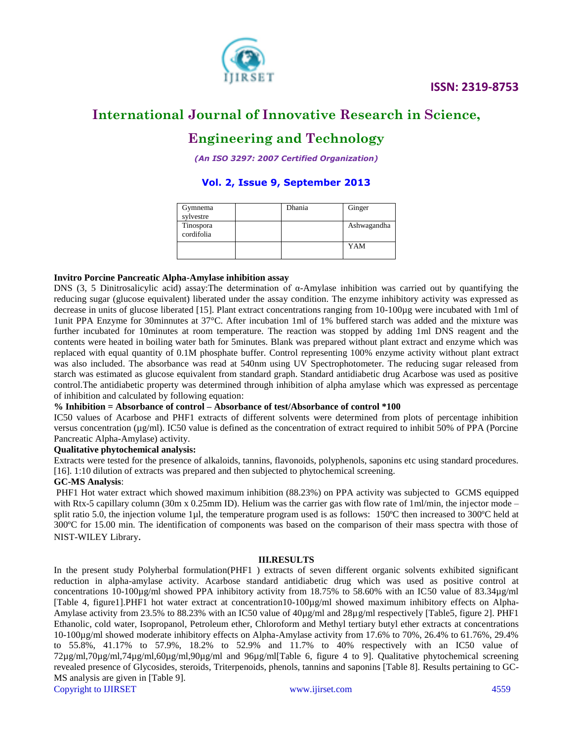

# **Engineering and Technology**

*(An ISO 3297: 2007 Certified Organization)*

### **Vol. 2, Issue 9, September 2013**

| Gymnema<br>sylvestre    | Dhania | Ginger      |
|-------------------------|--------|-------------|
| Tinospora<br>cordifolia |        | Ashwagandha |
|                         |        | YAM         |

### **Invitro Porcine Pancreatic Alpha-Amylase inhibition assay**

DNS (3, 5 Dinitrosalicylic acid) assay:The determination of α-Amylase inhibition was carried out by quantifying the reducing sugar (glucose equivalent) liberated under the assay condition. The enzyme inhibitory activity was expressed as decrease in units of glucose liberated [15]. Plant extract concentrations ranging from 10-100µg were incubated with 1ml of 1unit PPA Enzyme for 30minnutes at 37°C. After incubation 1ml of 1% buffered starch was added and the mixture was further incubated for 10minutes at room temperature. The reaction was stopped by adding 1ml DNS reagent and the contents were heated in boiling water bath for 5minutes. Blank was prepared without plant extract and enzyme which was replaced with equal quantity of 0.1M phosphate buffer. Control representing 100% enzyme activity without plant extract was also included. The absorbance was read at 540nm using UV Spectrophotometer. The reducing sugar released from starch was estimated as glucose equivalent from standard graph. Standard antidiabetic drug Acarbose was used as positive control.The antidiabetic property was determined through inhibition of alpha amylase which was expressed as percentage of inhibition and calculated by following equation:

### **% Inhibition = Absorbance of control – Absorbance of test/Absorbance of control \*100**

IC50 values of Acarbose and PHF1 extracts of different solvents were determined from plots of percentage inhibition versus concentration (µg/ml). IC50 value is defined as the concentration of extract required to inhibit 50% of PPA (Porcine Pancreatic Alpha-Amylase) activity.

### **Qualitative phytochemical analysis:**

Extracts were tested for the presence of alkaloids, tannins, flavonoids, polyphenols, saponins etc using standard procedures. [16]. 1:10 dilution of extracts was prepared and then subjected to phytochemical screening.

### **GC-MS Analysis**:

PHF1 Hot water extract which showed maximum inhibition (88.23%) on PPA activity was subjected to GCMS equipped with Rtx-5 capillary column (30m x 0.25mm ID). Helium was the carrier gas with flow rate of 1ml/min, the injector mode – split ratio 5.0, the injection volume 1µl, the temperature program used is as follows: 150°C then increased to 300°C held at 300ºC for 15.00 min. The identification of components was based on the comparison of their mass spectra with those of NIST-WILEY Library.

### **III.RESULTS**

Copyright to IJIRSET [www.ijirset.com](http://www.ijirset.com/) 4559 In the present study Polyherbal formulation(PHF1 ) extracts of seven different organic solvents exhibited significant reduction in alpha-amylase activity. Acarbose standard antidiabetic drug which was used as positive control at concentrations 10-100µg/ml showed PPA inhibitory activity from 18.75% to 58.60% with an IC50 value of 83.34µg/ml [Table 4, figure1].PHF1 hot water extract at concentration10-100µg/ml showed maximum inhibitory effects on Alpha-Amylase activity from 23.5% to 88.23% with an IC50 value of 40µg/ml and 28µg/ml respectively [Table5, figure 2]. PHF1 Ethanolic, cold water, Isopropanol, Petroleum ether, Chloroform and Methyl tertiary butyl ether extracts at concentrations 10-100µg/ml showed moderate inhibitory effects on Alpha-Amylase activity from 17.6% to 70%, 26.4% to 61.76%, 29.4% to 55.8%, 41.17% to 57.9%, 18.2% to 52.9% and 11.7% to 40% respectively with an IC50 value of 72µg/ml,70µg/ml,74µg/ml,60µg/ml,90µg/ml and 96µg/ml[Table 6, figure 4 to 9]. Qualitative phytochemical screening revealed presence of Glycosides, steroids, Triterpenoids, phenols, tannins and saponins [Table 8]. Results pertaining to GC-MS analysis are given in [Table 9].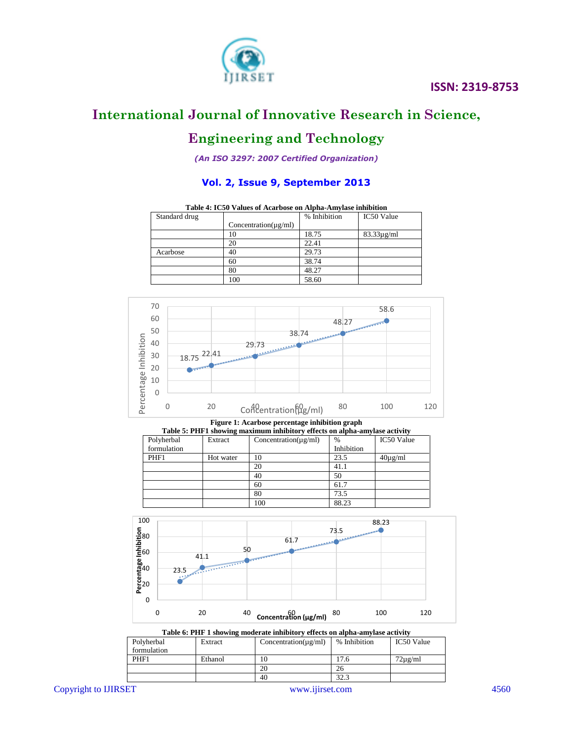

# **Engineering and Technology**

*(An ISO 3297: 2007 Certified Organization)*

### **Vol. 2, Issue 9, September 2013**

**Table 4: IC50 Values of Acarbose on Alpha-Amylase inhibition**

| Standard drug |                           | % Inhibition | IC50 Value      |
|---------------|---------------------------|--------------|-----------------|
|               | $Concentration(\mu g/ml)$ |              |                 |
|               | 10                        | 18.75        | $83.33\mu$ g/ml |
|               | 20                        | 22.41        |                 |
| Acarbose      | 40                        | 29.73        |                 |
|               | 60                        | 38.74        |                 |
|               | 80                        | 48.27        |                 |
|               | 100                       | 58.60        |                 |



**Figure 1: Acarbose percentage inhibition graph**

| Table 5: PHF1 showing maximum inhibitory effects on alpha-amylase activity |           |                           |               |              |  |  |  |
|----------------------------------------------------------------------------|-----------|---------------------------|---------------|--------------|--|--|--|
| Polyherbal                                                                 | Extract   | $Concentration(\mu g/ml)$ | $\frac{0}{0}$ | IC50 Value   |  |  |  |
| formulation                                                                |           |                           | Inhibition    |              |  |  |  |
| PHF1                                                                       | Hot water | 10                        | 23.5          | $40\mu$ g/ml |  |  |  |
|                                                                            |           | 20                        | 41.1          |              |  |  |  |
|                                                                            |           | 40                        | 50            |              |  |  |  |
|                                                                            |           | 60                        | 61.7          |              |  |  |  |
|                                                                            |           | 80                        | 73.5          |              |  |  |  |
|                                                                            |           | 100                       | 88.23         |              |  |  |  |



**Table 6: PHF 1 showing moderate inhibitory effects on alpha-amylase activity**

| Polyherbal  | Extract | $Concentration(\mu g/ml)$ | % Inhibition | IC50 Value   |  |  |
|-------------|---------|---------------------------|--------------|--------------|--|--|
| formulation |         |                           |              |              |  |  |
| PHF1        | Ethanol | 10                        | 17.6         | $72\mu$ g/ml |  |  |
|             |         | 20                        | 26           |              |  |  |
|             |         | 40                        | 32.3         |              |  |  |

Copyright to IJIRSET [www.ijirset.com](http://www.ijirset.com/) 4560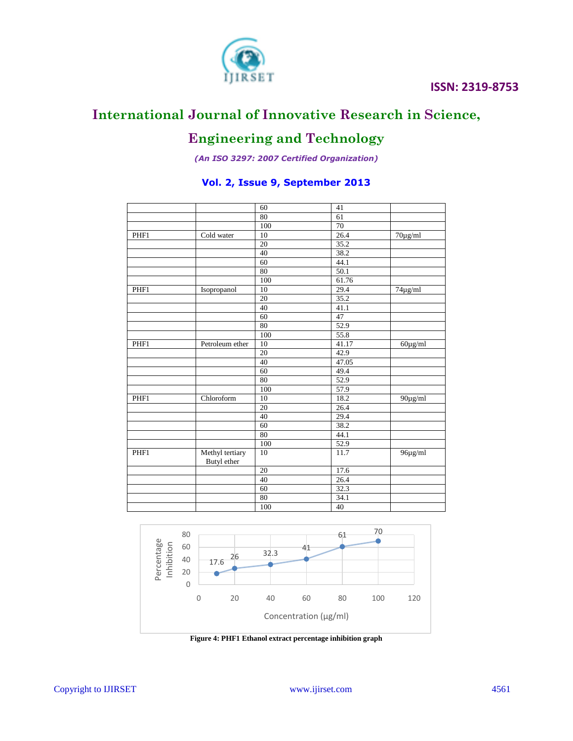

# **Engineering and Technology**

*(An ISO 3297: 2007 Certified Organization)*

### **Vol. 2, Issue 9, September 2013**

|      |                 | 60  | 41    |                       |
|------|-----------------|-----|-------|-----------------------|
|      |                 | 80  | 61    |                       |
|      |                 | 100 | 70    |                       |
| PHF1 | Cold water      | 10  | 26.4  | $\overline{70}$ µg/ml |
|      |                 | 20  | 35.2  |                       |
|      |                 | 40  | 38.2  |                       |
|      |                 | 60  | 44.1  |                       |
|      |                 | 80  | 50.1  |                       |
|      |                 | 100 | 61.76 |                       |
| PHF1 | Isopropanol     | 10  | 29.4  | $74\mu g/ml$          |
|      |                 | 20  | 35.2  |                       |
|      |                 | 40  | 41.1  |                       |
|      |                 | 60  | 47    |                       |
|      |                 | 80  | 52.9  |                       |
|      |                 | 100 | 55.8  |                       |
| PHF1 | Petroleum ether | 10  | 41.17 | $60\mu g/ml$          |
|      |                 | 20  | 42.9  |                       |
|      |                 | 40  | 47.05 |                       |
|      |                 | 60  | 49.4  |                       |
|      |                 | 80  | 52.9  |                       |
|      |                 | 100 | 57.9  |                       |
| PHF1 | Chloroform      | 10  | 18.2  | $90\mu g/ml$          |
|      |                 | 20  | 26.4  |                       |
|      |                 | 40  | 29.4  |                       |
|      |                 | 60  | 38.2  |                       |
|      |                 | 80  | 44.1  |                       |
|      |                 | 100 | 52.9  |                       |
| PHF1 | Methyl tertiary | 10  | 11.7  | 96µg/ml               |
|      | Butyl ether     |     |       |                       |
|      |                 | 20  | 17.6  |                       |
|      |                 | 40  | 26.4  |                       |
|      |                 | 60  | 32.3  |                       |
|      |                 | 80  | 34.1  |                       |
|      |                 | 100 | 40    |                       |
|      |                 |     |       |                       |



**Figure 4: PHF1 Ethanol extract percentage inhibition graph**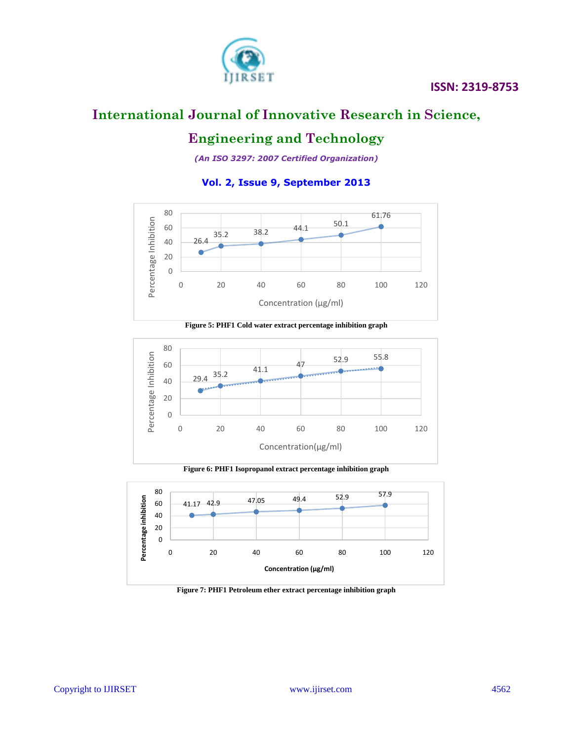

# **Engineering and Technology**

*(An ISO 3297: 2007 Certified Organization)*

### **Vol. 2, Issue 9, September 2013**



**Figure 5: PHF1 Cold water extract percentage inhibition graph**



**Figure 6: PHF1 Isopropanol extract percentage inhibition graph**



**Figure 7: PHF1 Petroleum ether extract percentage inhibition graph**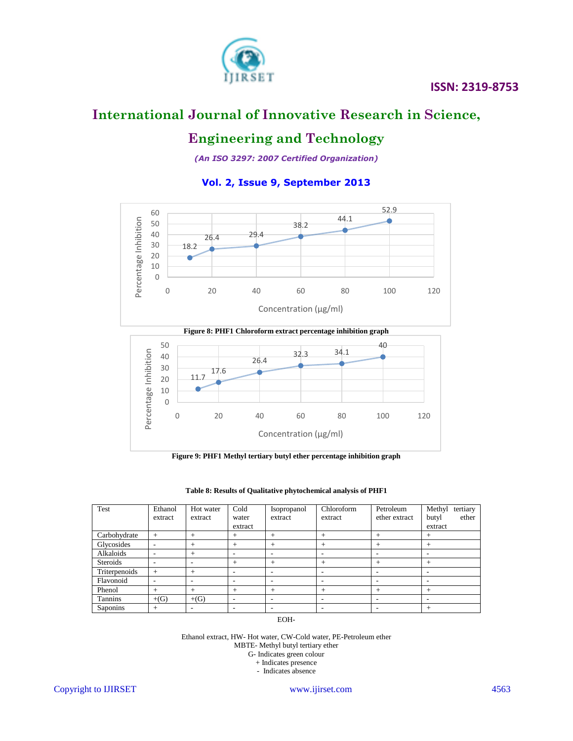

# **Engineering and Technology**

*(An ISO 3297: 2007 Certified Organization)*

### **Vol. 2, Issue 9, September 2013**



**Figure 8: PHF1 Chloroform extract percentage inhibition graph**



**Figure 9: PHF1 Methyl tertiary butyl ether percentage inhibition graph**

| Test            | Ethanol<br>extract | Hot water<br>extract | Cold<br>water<br>extract | Isopropanol<br>extract | Chloroform<br>extract | Petroleum<br>ether extract | tertiary<br>Methyl<br>ether<br>butyl<br>extract |
|-----------------|--------------------|----------------------|--------------------------|------------------------|-----------------------|----------------------------|-------------------------------------------------|
| Carbohydrate    | $+$                | $^{+}$               | $^+$                     | $^{+}$                 | $^{+}$                | $^{+}$                     | $^{+}$                                          |
| Glycosides      | ۰                  | $^{+}$               | $^{+}$                   | $+$                    | $^{+}$                | $+$                        | $^{+}$                                          |
| Alkaloids       | ۰                  | $^{+}$               | ۰                        | ۰                      | ۰                     | ۰                          | ۰                                               |
| <b>Steroids</b> | ۰                  | ۰                    | $+$                      | $+$                    | $+$                   | $+$                        | $^{+}$                                          |
| Triterpenoids   | $+$                | $^{+}$               |                          | ۰                      | ۰                     | ۰                          | ۰                                               |
| Flavonoid       |                    | ۰                    | ۰                        | ۰                      | ۰                     | ۰                          | ۰                                               |
| Phenol          | $^{+}$             | $^{+}$               | $^{+}$                   | $^{+}$                 | $+$                   | $^{+}$                     | $^{+}$                                          |
| Tannins         | $+(G)$             | $+(G)$               | ۰                        | ۰                      | ۰                     | ۰                          | ۰                                               |
| Saponins        | $^{+}$             | ۰                    | ۰                        | ۰                      | ۰                     | ۰                          | $^{+}$                                          |

**Table 8: Results of Qualitative phytochemical analysis of PHF1**

EOH-

Ethanol extract, HW- Hot water, CW-Cold water, PE-Petroleum ether MBTE- Methyl butyl tertiary ether

G- Indicates green colour

+ Indicates presence

- Indicates absence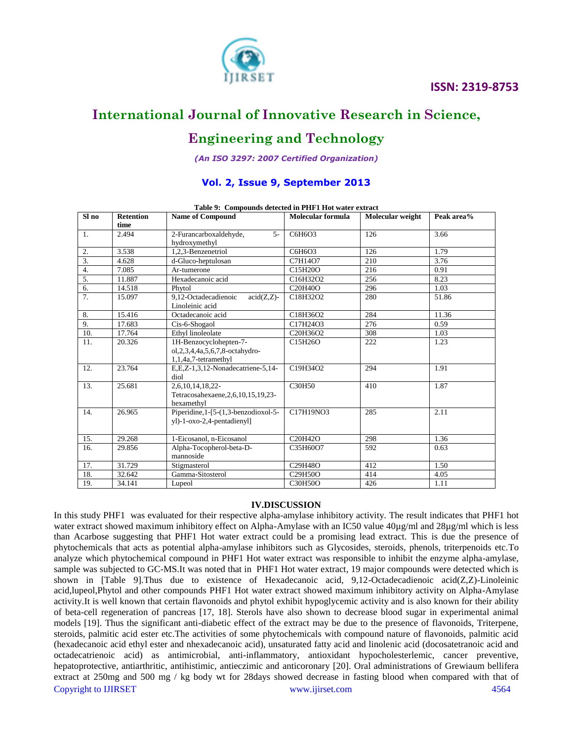

# **Engineering and Technology**

*(An ISO 3297: 2007 Certified Organization)*

### **Vol. 2, Issue 9, September 2013**

|                  |                  | Table 2. Compounds detected in THET Hot water extract   |                                   |                  |            |
|------------------|------------------|---------------------------------------------------------|-----------------------------------|------------------|------------|
| Sl no            | <b>Retention</b> | <b>Name of Compound</b>                                 | Molecular formula                 | Molecular weight | Peak area% |
|                  | time             |                                                         |                                   |                  |            |
| 1.               | 2.494            | 2-Furancarboxaldehyde,<br>$5 -$                         | C6H6O3                            | 126              | 3.66       |
|                  |                  | hydroxymethyl                                           |                                   |                  |            |
| 2.               | 3.538            | 1.2.3-Benzenetriol                                      | C6H6O3                            | 126              | 1.79       |
| $\overline{3}$ . | 4.628            | d-Gluco-heptulosan                                      | C7H14O7                           | 210              | 3.76       |
| 4.               | 7.085            | Ar-tumerone                                             | C15H20O                           | 216              | 0.91       |
| 5.               | 11.887           | Hexadecanoic acid                                       | C16H32O2                          | 256              | 8.23       |
| 6.               | 14.518           | Phytol                                                  | C <sub>20</sub> H <sub>40</sub> O | 296              | 1.03       |
| 7.               | 15.097           | 9.12-Octadecadienoic<br>$\overline{\text{acid}}(Z,Z)$ - | C18H32O2                          | 280              | 51.86      |
|                  |                  | Linoleinic acid                                         |                                   |                  |            |
| 8.               | 15.416           | Octadecanoic acid                                       | C18H36O2                          | 284              | 11.36      |
| 9.               | 17.683           | Cis-6-Shogaol                                           | C17H24O3                          | 276              | 0.59       |
| 10.              | 17.764           | Ethyl linoleolate                                       | C20H36O2                          | 308              | 1.03       |
| 11.              | 20.326           | 1H-Benzocyclohepten-7-                                  | C15H26O                           | 222              | 1.23       |
|                  |                  | ol, 2, 3, 4, 4a, 5, 6, 7, 8-octahydro-                  |                                   |                  |            |
|                  |                  | 1,1,4a,7-tetramethyl                                    |                                   |                  |            |
| 12.              | 23.764           | E,E,Z-1,3,12-Nonadecatriene-5,14-                       | C19H34O2                          | 294              | 1.91       |
|                  |                  | diol                                                    |                                   |                  |            |
| 13.              | 25.681           | 2,6,10,14,18,22-                                        | C30H50                            | 410              | 1.87       |
|                  |                  | Tetracosahexaene, 2, 6, 10, 15, 19, 23-                 |                                   |                  |            |
|                  |                  | hexamethyl                                              |                                   |                  |            |
| 14.              | 26.965           | Piperidine, 1-[5-(1,3-benzodioxol-5-                    | C17H19NO3                         | 285              | 2.11       |
|                  |                  | yl)-1-oxo-2,4-pentadienyl]                              |                                   |                  |            |
|                  |                  |                                                         |                                   |                  |            |
| 15.              | 29.268           | 1-Eicosanol, n-Eicosanol                                | C20H42O                           | 298              | 1.36       |
| 16.              | 29.856           | Alpha-Tocopherol-beta-D-                                | C35H60O7                          | 592              | 0.63       |
|                  |                  | mannoside                                               |                                   |                  |            |
| 17.              | 31.729           | Stigmasterol                                            | C29H48O                           | 412              | 1.50       |
| 18.              | 32.642           | Gamma-Sitosterol                                        | C29H50O                           | 414              | 4.05       |
| 19.              | 34.141           | Lupeol                                                  | C30H50O                           | 426              | 1.11       |

**Table 9: Compounds detected in PHF1 Hot water extract**

### **IV.DISCUSSION**

Copyright to IJIRSET [www.ijirset.com](http://www.ijirset.com/) 4564 In this study PHF1 was evaluated for their respective alpha-amylase inhibitory activity. The result indicates that PHF1 hot water extract showed maximum inhibitory effect on Alpha-Amylase with an IC50 value 40µg/ml and 28µg/ml which is less than Acarbose suggesting that PHF1 Hot water extract could be a promising lead extract. This is due the presence of phytochemicals that acts as potential alpha-amylase inhibitors such as Glycosides, steroids, phenols, triterpenoids etc.To analyze which phytochemical compound in PHF1 Hot water extract was responsible to inhibit the enzyme alpha-amylase, sample was subjected to GC-MS.It was noted that in PHF1 Hot water extract, 19 major compounds were detected which is shown in [Table 9].Thus due to existence of Hexadecanoic acid, 9,12-Octadecadienoic acid(Z,Z)-Linoleinic acid,lupeol,Phytol and other compounds PHF1 Hot water extract showed maximum inhibitory activity on Alpha-Amylase activity.It is well known that certain flavonoids and phytol exhibit hypoglycemic activity and is also known for their ability of beta-cell regeneration of pancreas [17, 18]. Sterols have also shown to decrease blood sugar in experimental animal models [19]. Thus the significant anti-diabetic effect of the extract may be due to the presence of flavonoids, Triterpene, steroids, palmitic acid ester etc.The activities of some phytochemicals with compound nature of flavonoids, palmitic acid (hexadecanoic acid ethyl ester and nhexadecanoic acid), unsaturated fatty acid and linolenic acid (docosatetranoic acid and octadecatrienoic acid) as antimicrobial, anti-inflammatory, antioxidant hypocholesterlemic, cancer preventive, hepatoprotective, antiarthritic, antihistimic, antieczimic and anticoronary [20]. Oral administrations of Grewiaum bellifera extract at 250mg and 500 mg / kg body wt for 28days showed decrease in fasting blood when compared with that of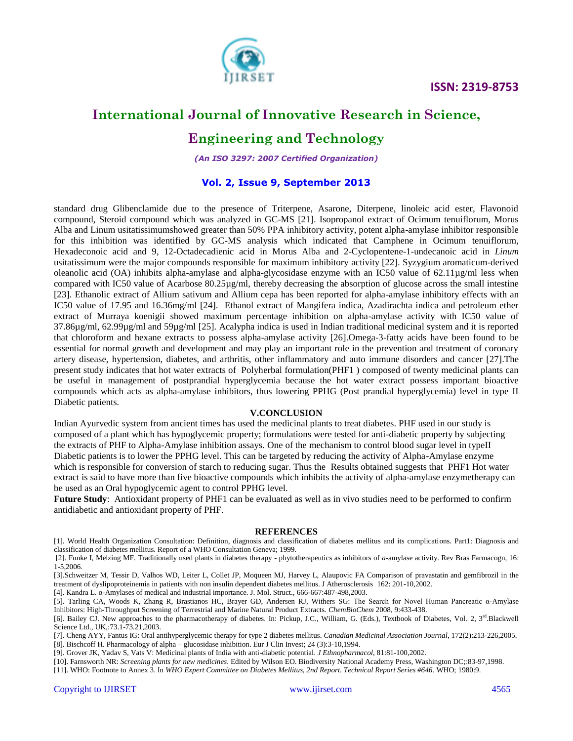

# **International Journal of Innovative Research in Science,**

## **Engineering and Technology**

*(An ISO 3297: 2007 Certified Organization)*

### **Vol. 2, Issue 9, September 2013**

standard drug Glibenclamide due to the presence of Triterpene, Asarone, Diterpene, linoleic acid ester, Flavonoid compound, Steroid compound which was analyzed in GC-MS [21]. Isopropanol extract of Ocimum tenuiflorum, Morus Alba and Linum usitatissimumshowed greater than 50% PPA inhibitory activity, potent alpha-amylase inhibitor responsible for this inhibition was identified by GC-MS analysis which indicated that Camphene in Ocimum tenuiflorum, Hexadeconoic acid and 9, 12-Octadecadienic acid in Morus Alba and 2-Cyclopentene-1-undecanoic acid in *Linum*  usitatissimum were the major compounds responsible for maximum inhibitory activity [22]. Syzygium aromaticum-derived oleanolic acid (OA) inhibits alpha-amylase and alpha-glycosidase enzyme with an IC50 value of 62.11µg/ml less when compared with IC50 value of Acarbose 80.25µg/ml, thereby decreasing the absorption of glucose across the small intestine [23]. Ethanolic extract of Allium sativum and Allium cepa has been reported for alpha-amylase inhibitory effects with an IC50 value of 17.95 and 16.36mg/ml [24]. Ethanol extract of Mangifera indica, Azadirachta indica and petroleum ether extract of Murraya koenigii showed maximum percentage inhibition on alpha-amylase activity with IC50 value of 37.86µg/ml, 62.99µg/ml and 59µg/ml [25]. Acalypha indica is used in Indian traditional medicinal system and it is reported that chloroform and hexane extracts to possess alpha-amylase activity [26].Omega-3-fatty acids have been found to be essential for normal growth and development and may play an important role in the prevention and treatment of coronary artery disease, hypertension, diabetes, and arthritis, other inflammatory and auto immune disorders and cancer [27].The present study indicates that hot water extracts of Polyherbal formulation(PHF1 ) composed of twenty medicinal plants can be useful in management of postprandial hyperglycemia because the hot water extract possess important bioactive compounds which acts as alpha-amylase inhibitors, thus lowering PPHG (Post prandial hyperglycemia) level in type II Diabetic patients.

### **V.CONCLUSION**

Indian Ayurvedic system from ancient times has used the medicinal plants to treat diabetes. PHF used in our study is composed of a plant which has hypoglycemic property; formulations were tested for anti-diabetic property by subjecting the extracts of PHF to Alpha-Amylase inhibition assays. One of the mechanism to control blood sugar level in typeII Diabetic patients is to lower the PPHG level. This can be targeted by reducing the activity of Alpha-Amylase enzyme which is responsible for conversion of starch to reducing sugar. Thus the Results obtained suggests that PHF1 Hot water extract is said to have more than five bioactive compounds which inhibits the activity of alpha-amylase enzymetherapy can be used as an Oral hypoglycemic agent to control PPHG level.

**Future Study**: Antioxidant property of PHF1 can be evaluated as well as in vivo studies need to be performed to confirm antidiabetic and antioxidant property of PHF.

#### **REFERENCES**

[1]. World Health Organization Consultation: Definition, diagnosis and classification of diabetes mellitus and its complications. Part1: Diagnosis and classification of diabetes mellitus. Report of a WHO Consultation Geneva; 1999.

[2]. Funke I, Melzing MF. Traditionally used plants in diabetes therapy - phytotherapeutics as inhibitors of *a*-amylase activity. Rev Bras Farmacogn, 16: 1-5,2006.

[3].Schweitzer M, Tessir D, Valhos WD, Leiter L, Collet JP, Moqueen MJ, Harvey L, Alaupovic FA Comparison of pravastatin and gemfibrozil in the treatment of dyslipoproteinemia in patients with non insulin dependent diabetes mellitus. J Atherosclerosis 162: 201-10,2002.

[4]. Kandra L. α-Amylases of medical and industrial importance. J. Mol. Struct., 666-667:487-498,2003.

[5]. Tarling CA, Woods K, Zhang R, Brastianos HC, Brayer GD, Andersen RJ, Withers SG: The Search for Novel Human Pancreatic α-Amylase Inhibitors: High-Throughput Screening of Terrestrial and Marine Natural Product Extracts. *ChemBioChem* 2008, 9:433-438.

[6]. Bailey CJ. New approaches to the pharmacotherapy of diabetes. In: Pickup, J.C., William, G. (Eds.), Textbook of Diabetes, Vol. 2, 3rd Blackwell Science Ltd., UK,:73.1-73.21,2003.

[7]. Cheng AYY, Fantus IG: Oral antihyperglycemic therapy for type 2 diabetes mellitus. *Canadian Medicinal Association Journal*, 172(2):213-226,2005. [8]. Bischcoff H. Pharmacology of alpha – glucosidase inhibition. Eur J Clin Invest; 24 (3):3-10,1994.

[9]. Grover JK, Yadav S, Vats V: Medicinal plants of India with anti-diabetic potential. *J Ethnopharmacol*, 81:81-100,2002.

[10]. Farnsworth NR: *Screening plants for new medicines*. Edited by Wilson EO. Biodiversity National Academy Press, Washington DC;:83-97,1998.

[11]. WHO: Footnote to Annex 3. In *WHO Expert Committee on Diabetes Mellitus, 2nd Report. Technical Report Series #646*. WHO; 1980:9.